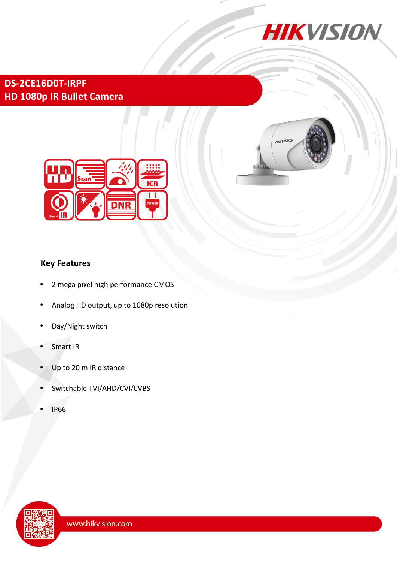

**DS-2CE16D0T-IRPF HD 1080p IR Bullet Camera**





# **Key Features**

- 2 mega pixel high performance CMOS
- Analog HD output, up to 1080p resolution
- Day/Night switch
- Smart IR
- Up to 20 m IR distance
- Switchable TVI/AHD/CVI/CVBS
- IP66

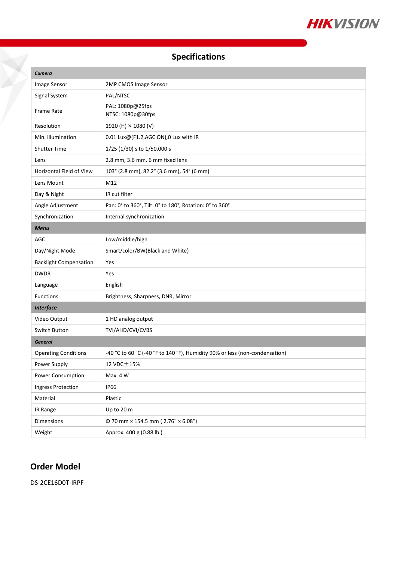

# **Specifications**

| Camera                        |                                                                             |
|-------------------------------|-----------------------------------------------------------------------------|
| Image Sensor                  | 2MP CMOS Image Sensor                                                       |
| Signal System                 | PAL/NTSC                                                                    |
| Frame Rate                    | PAL: 1080p@25fps<br>NTSC: 1080p@30fps                                       |
| Resolution                    | 1920 (H) × 1080 (V)                                                         |
| Min. illumination             | 0.01 Lux@(F1.2,AGC ON),0 Lux with IR                                        |
| <b>Shutter Time</b>           | 1/25 (1/30) s to 1/50,000 s                                                 |
| Lens                          | 2.8 mm, 3.6 mm, 6 mm fixed lens                                             |
| Horizontal Field of View      | 103° (2.8 mm), 82.2° (3.6 mm), 54° (6 mm)                                   |
| Lens Mount                    | M12                                                                         |
| Day & Night                   | IR cut filter                                                               |
| Angle Adjustment              | Pan: 0° to 360°, Tilt: 0° to 180°, Rotation: 0° to 360°                     |
| Synchronization               | Internal synchronization                                                    |
| <b>Menu</b>                   |                                                                             |
| AGC                           | Low/middle/high                                                             |
| Day/Night Mode                | Smart/color/BW(Black and White)                                             |
| <b>Backlight Compensation</b> | Yes                                                                         |
| <b>DWDR</b>                   | Yes                                                                         |
| Language                      | English                                                                     |
| <b>Functions</b>              | Brightness, Sharpness, DNR, Mirror                                          |
| <b>Interface</b>              |                                                                             |
| Video Output                  | 1 HD analog output                                                          |
| Switch Button                 | TVI/AHD/CVI/CVBS                                                            |
| <b>General</b>                |                                                                             |
| <b>Operating Conditions</b>   | -40 °C to 60 °C (-40 °F to 140 °F), Humidity 90% or less (non-condensation) |
| Power Supply                  | 12 VDC ± 15%                                                                |
| Power Consumption             | Max. 4 W                                                                    |
| Ingress Protection            | <b>IP66</b>                                                                 |
| Material                      | Plastic                                                                     |
| IR Range                      | Up to 20 m                                                                  |
| Dimensions                    | $\Phi$ 70 mm × 154.5 mm (2.76" × 6.08")                                     |
| Weight                        | Approx. 400 g (0.88 lb.)                                                    |

# **Order Model**

DS-2CE16D0T-IRPF